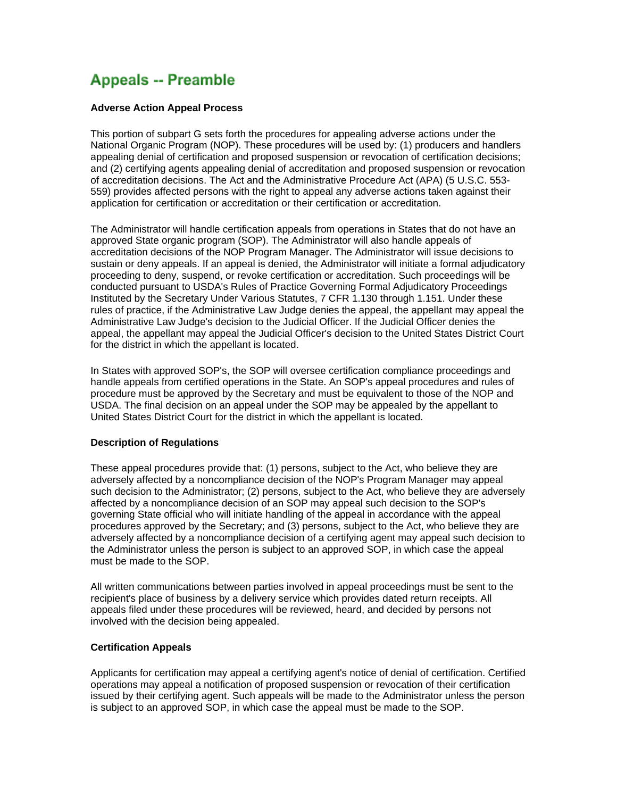# **Appeals -- Preamble**

# **Adverse Action Appeal Process**

This portion of subpart G sets forth the procedures for appealing adverse actions under the National Organic Program (NOP). These procedures will be used by: (1) producers and handlers appealing denial of certification and proposed suspension or revocation of certification decisions; and (2) certifying agents appealing denial of accreditation and proposed suspension or revocation of accreditation decisions. The Act and the Administrative Procedure Act (APA) (5 U.S.C. 553- 559) provides affected persons with the right to appeal any adverse actions taken against their application for certification or accreditation or their certification or accreditation.

The Administrator will handle certification appeals from operations in States that do not have an approved State organic program (SOP). The Administrator will also handle appeals of accreditation decisions of the NOP Program Manager. The Administrator will issue decisions to sustain or deny appeals. If an appeal is denied, the Administrator will initiate a formal adjudicatory proceeding to deny, suspend, or revoke certification or accreditation. Such proceedings will be conducted pursuant to USDA's Rules of Practice Governing Formal Adjudicatory Proceedings Instituted by the Secretary Under Various Statutes, 7 CFR 1.130 through 1.151. Under these rules of practice, if the Administrative Law Judge denies the appeal, the appellant may appeal the Administrative Law Judge's decision to the Judicial Officer. If the Judicial Officer denies the appeal, the appellant may appeal the Judicial Officer's decision to the United States District Court for the district in which the appellant is located.

In States with approved SOP's, the SOP will oversee certification compliance proceedings and handle appeals from certified operations in the State. An SOP's appeal procedures and rules of procedure must be approved by the Secretary and must be equivalent to those of the NOP and USDA. The final decision on an appeal under the SOP may be appealed by the appellant to United States District Court for the district in which the appellant is located.

# **Description of Regulations**

These appeal procedures provide that: (1) persons, subject to the Act, who believe they are adversely affected by a noncompliance decision of the NOP's Program Manager may appeal such decision to the Administrator; (2) persons, subject to the Act, who believe they are adversely affected by a noncompliance decision of an SOP may appeal such decision to the SOP's governing State official who will initiate handling of the appeal in accordance with the appeal procedures approved by the Secretary; and (3) persons, subject to the Act, who believe they are adversely affected by a noncompliance decision of a certifying agent may appeal such decision to the Administrator unless the person is subject to an approved SOP, in which case the appeal must be made to the SOP.

All written communications between parties involved in appeal proceedings must be sent to the recipient's place of business by a delivery service which provides dated return receipts. All appeals filed under these procedures will be reviewed, heard, and decided by persons not involved with the decision being appealed.

# **Certification Appeals**

Applicants for certification may appeal a certifying agent's notice of denial of certification. Certified operations may appeal a notification of proposed suspension or revocation of their certification issued by their certifying agent. Such appeals will be made to the Administrator unless the person is subject to an approved SOP, in which case the appeal must be made to the SOP.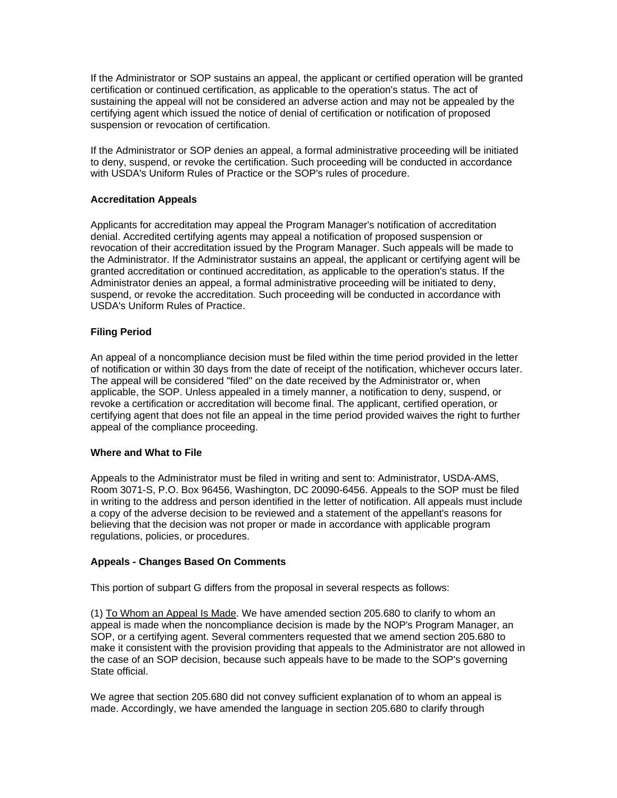If the Administrator or SOP sustains an appeal, the applicant or certified operation will be granted certification or continued certification, as applicable to the operation's status. The act of sustaining the appeal will not be considered an adverse action and may not be appealed by the certifying agent which issued the notice of denial of certification or notification of proposed suspension or revocation of certification.

If the Administrator or SOP denies an appeal, a formal administrative proceeding will be initiated to deny, suspend, or revoke the certification. Such proceeding will be conducted in accordance with USDA's Uniform Rules of Practice or the SOP's rules of procedure.

# **Accreditation Appeals**

Applicants for accreditation may appeal the Program Manager's notification of accreditation denial. Accredited certifying agents may appeal a notification of proposed suspension or revocation of their accreditation issued by the Program Manager. Such appeals will be made to the Administrator. If the Administrator sustains an appeal, the applicant or certifying agent will be granted accreditation or continued accreditation, as applicable to the operation's status. If the Administrator denies an appeal, a formal administrative proceeding will be initiated to deny, suspend, or revoke the accreditation. Such proceeding will be conducted in accordance with USDA's Uniform Rules of Practice.

# **Filing Period**

An appeal of a noncompliance decision must be filed within the time period provided in the letter of notification or within 30 days from the date of receipt of the notification, whichever occurs later. The appeal will be considered "filed" on the date received by the Administrator or, when applicable, the SOP. Unless appealed in a timely manner, a notification to deny, suspend, or revoke a certification or accreditation will become final. The applicant, certified operation, or certifying agent that does not file an appeal in the time period provided waives the right to further appeal of the compliance proceeding.

# **Where and What to File**

Appeals to the Administrator must be filed in writing and sent to: Administrator, USDA-AMS, Room 3071-S, P.O. Box 96456, Washington, DC 20090-6456. Appeals to the SOP must be filed in writing to the address and person identified in the letter of notification. All appeals must include a copy of the adverse decision to be reviewed and a statement of the appellant's reasons for believing that the decision was not proper or made in accordance with applicable program regulations, policies, or procedures.

# **Appeals - Changes Based On Comments**

This portion of subpart G differs from the proposal in several respects as follows:

(1) To Whom an Appeal Is Made. We have amended section 205.680 to clarify to whom an appeal is made when the noncompliance decision is made by the NOP's Program Manager, an SOP, or a certifying agent. Several commenters requested that we amend section 205.680 to make it consistent with the provision providing that appeals to the Administrator are not allowed in the case of an SOP decision, because such appeals have to be made to the SOP's governing State official.

We agree that section 205.680 did not convey sufficient explanation of to whom an appeal is made. Accordingly, we have amended the language in section 205.680 to clarify through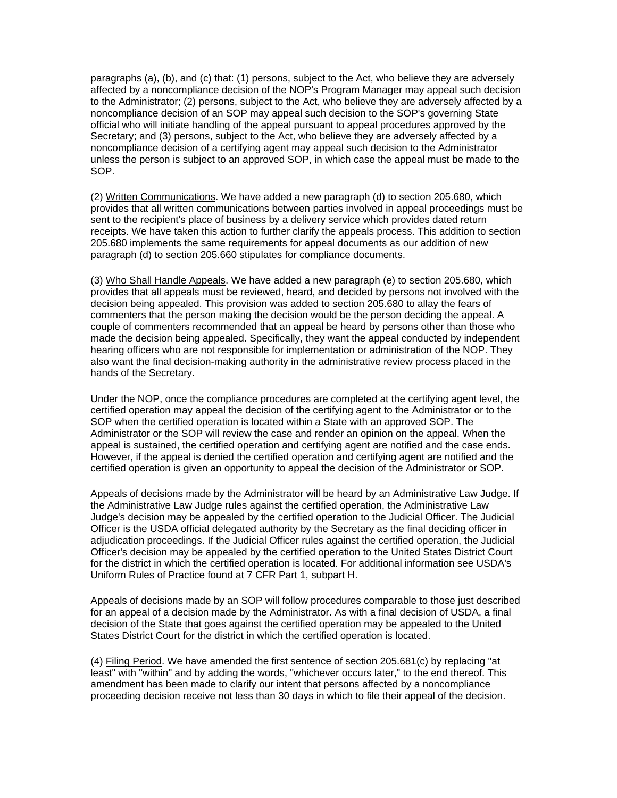paragraphs (a), (b), and (c) that: (1) persons, subject to the Act, who believe they are adversely affected by a noncompliance decision of the NOP's Program Manager may appeal such decision to the Administrator; (2) persons, subject to the Act, who believe they are adversely affected by a noncompliance decision of an SOP may appeal such decision to the SOP's governing State official who will initiate handling of the appeal pursuant to appeal procedures approved by the Secretary; and (3) persons, subject to the Act, who believe they are adversely affected by a noncompliance decision of a certifying agent may appeal such decision to the Administrator unless the person is subject to an approved SOP, in which case the appeal must be made to the SOP.

(2) Written Communications. We have added a new paragraph (d) to section 205.680, which provides that all written communications between parties involved in appeal proceedings must be sent to the recipient's place of business by a delivery service which provides dated return receipts. We have taken this action to further clarify the appeals process. This addition to section 205.680 implements the same requirements for appeal documents as our addition of new paragraph (d) to section 205.660 stipulates for compliance documents.

(3) Who Shall Handle Appeals. We have added a new paragraph (e) to section 205.680, which provides that all appeals must be reviewed, heard, and decided by persons not involved with the decision being appealed. This provision was added to section 205.680 to allay the fears of commenters that the person making the decision would be the person deciding the appeal. A couple of commenters recommended that an appeal be heard by persons other than those who made the decision being appealed. Specifically, they want the appeal conducted by independent hearing officers who are not responsible for implementation or administration of the NOP. They also want the final decision-making authority in the administrative review process placed in the hands of the Secretary.

Under the NOP, once the compliance procedures are completed at the certifying agent level, the certified operation may appeal the decision of the certifying agent to the Administrator or to the SOP when the certified operation is located within a State with an approved SOP. The Administrator or the SOP will review the case and render an opinion on the appeal. When the appeal is sustained, the certified operation and certifying agent are notified and the case ends. However, if the appeal is denied the certified operation and certifying agent are notified and the certified operation is given an opportunity to appeal the decision of the Administrator or SOP.

Appeals of decisions made by the Administrator will be heard by an Administrative Law Judge. If the Administrative Law Judge rules against the certified operation, the Administrative Law Judge's decision may be appealed by the certified operation to the Judicial Officer. The Judicial Officer is the USDA official delegated authority by the Secretary as the final deciding officer in adjudication proceedings. If the Judicial Officer rules against the certified operation, the Judicial Officer's decision may be appealed by the certified operation to the United States District Court for the district in which the certified operation is located. For additional information see USDA's Uniform Rules of Practice found at 7 CFR Part 1, subpart H.

Appeals of decisions made by an SOP will follow procedures comparable to those just described for an appeal of a decision made by the Administrator. As with a final decision of USDA, a final decision of the State that goes against the certified operation may be appealed to the United States District Court for the district in which the certified operation is located.

(4) Filing Period. We have amended the first sentence of section 205.681(c) by replacing "at least" with "within" and by adding the words, "whichever occurs later," to the end thereof. This amendment has been made to clarify our intent that persons affected by a noncompliance proceeding decision receive not less than 30 days in which to file their appeal of the decision.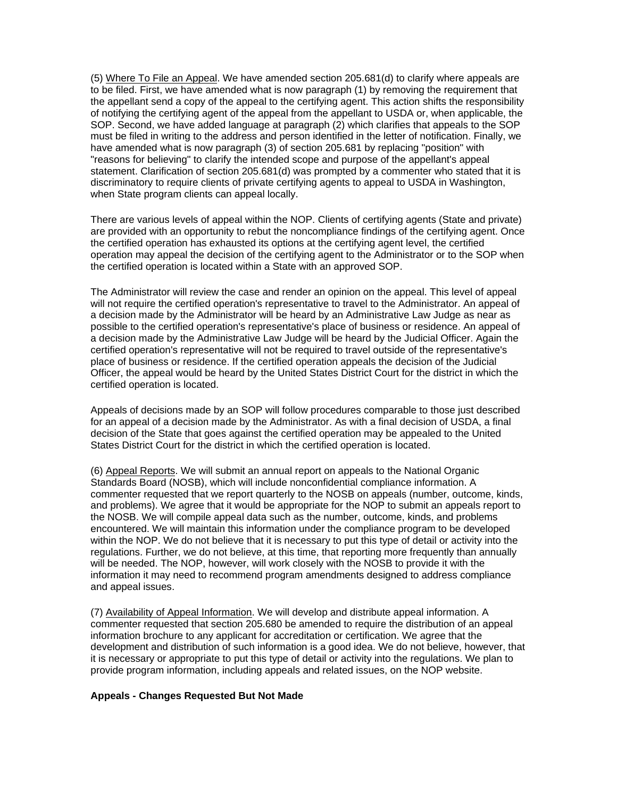(5) Where To File an Appeal. We have amended section 205.681(d) to clarify where appeals are to be filed. First, we have amended what is now paragraph (1) by removing the requirement that the appellant send a copy of the appeal to the certifying agent. This action shifts the responsibility of notifying the certifying agent of the appeal from the appellant to USDA or, when applicable, the SOP. Second, we have added language at paragraph (2) which clarifies that appeals to the SOP must be filed in writing to the address and person identified in the letter of notification. Finally, we have amended what is now paragraph (3) of section 205.681 by replacing "position" with "reasons for believing" to clarify the intended scope and purpose of the appellant's appeal statement. Clarification of section 205.681(d) was prompted by a commenter who stated that it is discriminatory to require clients of private certifying agents to appeal to USDA in Washington, when State program clients can appeal locally.

There are various levels of appeal within the NOP. Clients of certifying agents (State and private) are provided with an opportunity to rebut the noncompliance findings of the certifying agent. Once the certified operation has exhausted its options at the certifying agent level, the certified operation may appeal the decision of the certifying agent to the Administrator or to the SOP when the certified operation is located within a State with an approved SOP.

The Administrator will review the case and render an opinion on the appeal. This level of appeal will not require the certified operation's representative to travel to the Administrator. An appeal of a decision made by the Administrator will be heard by an Administrative Law Judge as near as possible to the certified operation's representative's place of business or residence. An appeal of a decision made by the Administrative Law Judge will be heard by the Judicial Officer. Again the certified operation's representative will not be required to travel outside of the representative's place of business or residence. If the certified operation appeals the decision of the Judicial Officer, the appeal would be heard by the United States District Court for the district in which the certified operation is located.

Appeals of decisions made by an SOP will follow procedures comparable to those just described for an appeal of a decision made by the Administrator. As with a final decision of USDA, a final decision of the State that goes against the certified operation may be appealed to the United States District Court for the district in which the certified operation is located.

(6) Appeal Reports. We will submit an annual report on appeals to the National Organic Standards Board (NOSB), which will include nonconfidential compliance information. A commenter requested that we report quarterly to the NOSB on appeals (number, outcome, kinds, and problems). We agree that it would be appropriate for the NOP to submit an appeals report to the NOSB. We will compile appeal data such as the number, outcome, kinds, and problems encountered. We will maintain this information under the compliance program to be developed within the NOP. We do not believe that it is necessary to put this type of detail or activity into the regulations. Further, we do not believe, at this time, that reporting more frequently than annually will be needed. The NOP, however, will work closely with the NOSB to provide it with the information it may need to recommend program amendments designed to address compliance and appeal issues.

(7) Availability of Appeal Information. We will develop and distribute appeal information. A commenter requested that section 205.680 be amended to require the distribution of an appeal information brochure to any applicant for accreditation or certification. We agree that the development and distribution of such information is a good idea. We do not believe, however, that it is necessary or appropriate to put this type of detail or activity into the regulations. We plan to provide program information, including appeals and related issues, on the NOP website.

# **Appeals - Changes Requested But Not Made**